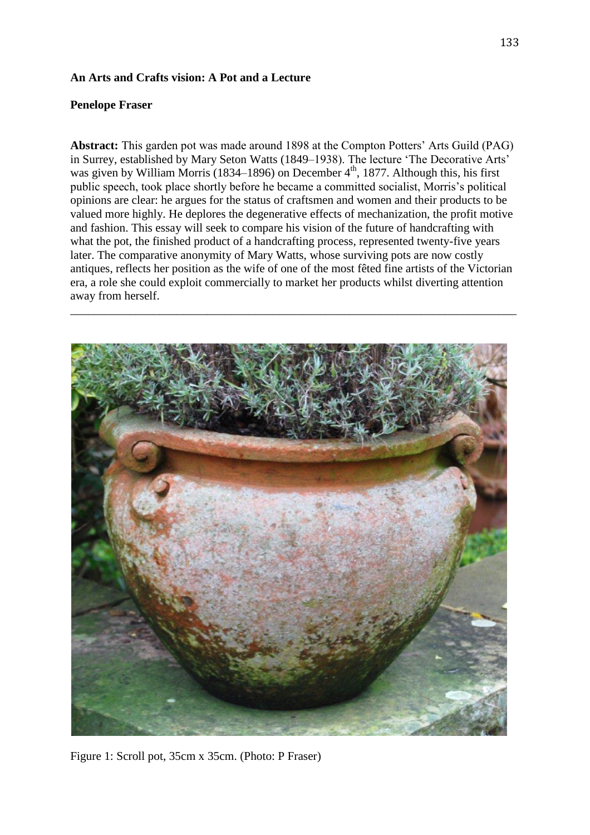## **An Arts and Crafts vision: A Pot and a Lecture**

# **Penelope Fraser**

**Abstract:** This garden pot was made around 1898 at the Compton Potters' Arts Guild (PAG) in Surrey, established by Mary Seton Watts (1849–1938). The lecture 'The Decorative Arts' was given by William Morris (1834–1896) on December  $4<sup>th</sup>$ , 1877. Although this, his first public speech, took place shortly before he became a committed socialist, Morris's political opinions are clear: he argues for the status of craftsmen and women and their products to be valued more highly. He deplores the degenerative effects of mechanization, the profit motive and fashion. This essay will seek to compare his vision of the future of handcrafting with what the pot, the finished product of a handcrafting process, represented twenty-five years later. The comparative anonymity of Mary Watts, whose surviving pots are now costly antiques, reflects her position as the wife of one of the most fêted fine artists of the Victorian era, a role she could exploit commercially to market her products whilst diverting attention away from herself.

\_\_\_\_\_\_\_\_\_\_\_\_\_\_\_\_\_\_\_\_\_\_\_\_\_\_\_\_\_\_\_\_\_\_\_\_\_\_\_\_\_\_\_\_\_\_\_\_\_\_\_\_\_\_\_\_\_\_\_\_\_\_\_\_\_\_\_\_\_\_\_\_\_\_\_



Figure 1: Scroll pot, 35cm x 35cm. (Photo: P Fraser)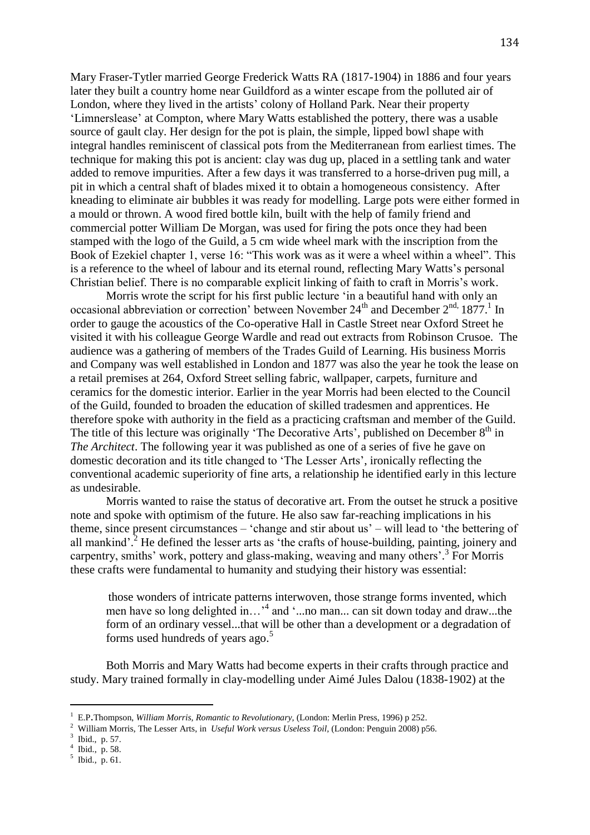Mary Fraser-Tytler married George Frederick Watts RA (1817-1904) in 1886 and four years later they built a country home near Guildford as a winter escape from the polluted air of London, where they lived in the artists' colony of Holland Park. Near their property 'Limnerslease' at Compton, where Mary Watts established the pottery, there was a usable source of gault clay. Her design for the pot is plain, the simple, lipped bowl shape with integral handles reminiscent of classical pots from the Mediterranean from earliest times. The technique for making this pot is ancient: clay was dug up, placed in a settling tank and water added to remove impurities. After a few days it was transferred to a horse-driven pug mill, a pit in which a central shaft of blades mixed it to obtain a homogeneous consistency. After kneading to eliminate air bubbles it was ready for modelling. Large pots were either formed in a mould or thrown. A wood fired bottle kiln, built with the help of family friend and commercial potter William De Morgan, was used for firing the pots once they had been stamped with the logo of the Guild, a 5 cm wide wheel mark with the inscription from the Book of Ezekiel chapter 1, verse 16: "This work was as it were a wheel within a wheel". This is a reference to the wheel of labour and its eternal round, reflecting Mary Watts's personal Christian belief. There is no comparable explicit linking of faith to craft in Morris's work.

Morris wrote the script for his first public lecture 'in a beautiful hand with only an occasional abbreviation or correction' between November  $24<sup>th</sup>$  and December  $2<sup>nd</sup>$ , 1877.<sup>1</sup> In order to gauge the acoustics of the Co-operative Hall in Castle Street near Oxford Street he visited it with his colleague George Wardle and read out extracts from Robinson Crusoe. The audience was a gathering of members of the Trades Guild of Learning. His business Morris and Company was well established in London and 1877 was also the year he took the lease on a retail premises at 264, Oxford Street selling fabric, wallpaper, carpets, furniture and ceramics for the domestic interior. Earlier in the year Morris had been elected to the Council of the Guild, founded to broaden the education of skilled tradesmen and apprentices. He therefore spoke with authority in the field as a practicing craftsman and member of the Guild. The title of this lecture was originally 'The Decorative Arts', published on December 8<sup>th</sup> in *The Architect*. The following year it was published as one of a series of five he gave on domestic decoration and its title changed to 'The Lesser Arts', ironically reflecting the conventional academic superiority of fine arts, a relationship he identified early in this lecture as undesirable.

Morris wanted to raise the status of decorative art. From the outset he struck a positive note and spoke with optimism of the future. He also saw far-reaching implications in his theme, since present circumstances – 'change and stir about us' – will lead to 'the bettering of all mankind'.<sup>2</sup> He defined the lesser arts as 'the crafts of house-building, painting, joinery and carpentry, smiths' work, pottery and glass-making, weaving and many others'. 3 For Morris these crafts were fundamental to humanity and studying their history was essential:

those wonders of intricate patterns interwoven, those strange forms invented, which men have so long delighted in...<sup>4</sup> and '...no man... can sit down today and draw...the form of an ordinary vessel...that will be other than a development or a degradation of forms used hundreds of years ago.<sup>5</sup>

Both Morris and Mary Watts had become experts in their crafts through practice and study. Mary trained formally in clay-modelling under Aimé Jules Dalou (1838-1902) at the

 $\overline{\phantom{a}}$ 

4 Ibid., p. 58.

<sup>1</sup> E.P.Thompson, *William Morris, Romantic to Revolutionary,* (London: Merlin Press, 1996) p 252.

<sup>2</sup> William Morris, The Lesser Arts, in *Useful Work versus Useless Toil,* (London: Penguin 2008) p56.

 $3$  Ibid., p. 57.

<sup>5</sup> Ibid., p. 61.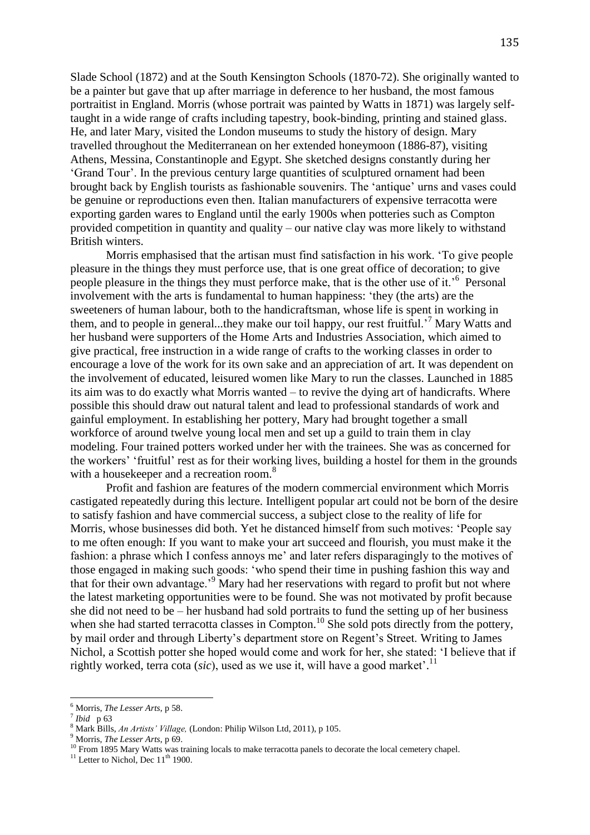Slade School (1872) and at the South Kensington Schools (1870-72). She originally wanted to be a painter but gave that up after marriage in deference to her husband, the most famous portraitist in England. Morris (whose portrait was painted by Watts in 1871) was largely selftaught in a wide range of crafts including tapestry, book-binding, printing and stained glass. He, and later Mary, visited the London museums to study the history of design. Mary travelled throughout the Mediterranean on her extended honeymoon (1886-87), visiting Athens, Messina, Constantinople and Egypt. She sketched designs constantly during her 'Grand Tour'. In the previous century large quantities of sculptured ornament had been brought back by English tourists as fashionable souvenirs. The 'antique' urns and vases could be genuine or reproductions even then. Italian manufacturers of expensive terracotta were exporting garden wares to England until the early 1900s when potteries such as Compton provided competition in quantity and quality – our native clay was more likely to withstand British winters.

Morris emphasised that the artisan must find satisfaction in his work. 'To give people pleasure in the things they must perforce use, that is one great office of decoration; to give people pleasure in the things they must perforce make, that is the other use of it.<sup>56</sup> Personal involvement with the arts is fundamental to human happiness: 'they (the arts) are the sweeteners of human labour, both to the handicraftsman, whose life is spent in working in them, and to people in general...they make our toil happy, our rest fruitful.<sup>7</sup> Mary Watts and her husband were supporters of the Home Arts and Industries Association, which aimed to give practical, free instruction in a wide range of crafts to the working classes in order to encourage a love of the work for its own sake and an appreciation of art. It was dependent on the involvement of educated, leisured women like Mary to run the classes. Launched in 1885 its aim was to do exactly what Morris wanted – to revive the dying art of handicrafts. Where possible this should draw out natural talent and lead to professional standards of work and gainful employment. In establishing her pottery, Mary had brought together a small workforce of around twelve young local men and set up a guild to train them in clay modeling. Four trained potters worked under her with the trainees. She was as concerned for the workers' 'fruitful' rest as for their working lives, building a hostel for them in the grounds with a housekeeper and a recreation room.<sup>8</sup>

Profit and fashion are features of the modern commercial environment which Morris castigated repeatedly during this lecture. Intelligent popular art could not be born of the desire to satisfy fashion and have commercial success, a subject close to the reality of life for Morris, whose businesses did both. Yet he distanced himself from such motives: 'People say to me often enough: If you want to make your art succeed and flourish, you must make it the fashion: a phrase which I confess annoys me' and later refers disparagingly to the motives of those engaged in making such goods: 'who spend their time in pushing fashion this way and that for their own advantage.<sup>9</sup> Mary had her reservations with regard to profit but not where the latest marketing opportunities were to be found. She was not motivated by profit because she did not need to be – her husband had sold portraits to fund the setting up of her business when she had started terracotta classes in Compton.<sup>10</sup> She sold pots directly from the pottery, by mail order and through Liberty's department store on Regent's Street. Writing to James Nichol, a Scottish potter she hoped would come and work for her, she stated: 'I believe that if rightly worked, terra cota (*sic*), used as we use it, will have a good market'. 11

 $\overline{\phantom{a}}$ 

<sup>6</sup> Morris, *The Lesser Arts*, p 58.

<sup>7</sup> *Ibid* p 63

<sup>8</sup> Mark Bills, *An Artists' Village,* (London: Philip Wilson Ltd, 2011), p 105.

<sup>9</sup> Morris, *The Lesser Arts*, p 69.

<sup>&</sup>lt;sup>10</sup> From 1895 Mary Watts was training locals to make terracotta panels to decorate the local cemetery chapel.

 $11$  Letter to Nichol, Dec  $11<sup>th</sup>$  1900.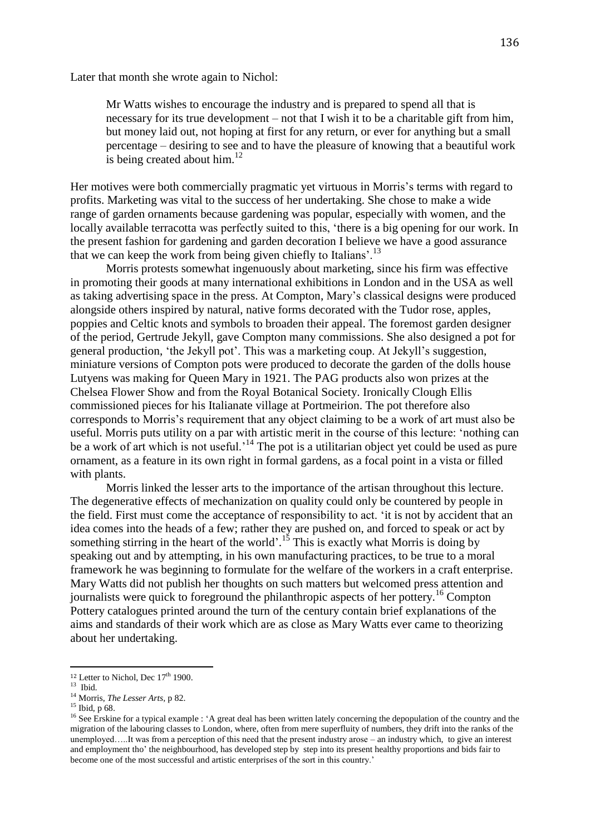Later that month she wrote again to Nichol:

Mr Watts wishes to encourage the industry and is prepared to spend all that is necessary for its true development – not that I wish it to be a charitable gift from him, but money laid out, not hoping at first for any return, or ever for anything but a small percentage – desiring to see and to have the pleasure of knowing that a beautiful work is being created about him. $^{12}$ 

Her motives were both commercially pragmatic yet virtuous in Morris's terms with regard to profits. Marketing was vital to the success of her undertaking. She chose to make a wide range of garden ornaments because gardening was popular, especially with women, and the locally available terracotta was perfectly suited to this, 'there is a big opening for our work. In the present fashion for gardening and garden decoration I believe we have a good assurance that we can keep the work from being given chiefly to Italians'.<sup>13</sup>

Morris protests somewhat ingenuously about marketing, since his firm was effective in promoting their goods at many international exhibitions in London and in the USA as well as taking advertising space in the press. At Compton, Mary's classical designs were produced alongside others inspired by natural, native forms decorated with the Tudor rose, apples, poppies and Celtic knots and symbols to broaden their appeal. The foremost garden designer of the period, Gertrude Jekyll, gave Compton many commissions. She also designed a pot for general production, 'the Jekyll pot'. This was a marketing coup. At Jekyll's suggestion, miniature versions of Compton pots were produced to decorate the garden of the dolls house Lutyens was making for Queen Mary in 1921. The PAG products also won prizes at the Chelsea Flower Show and from the Royal Botanical Society. Ironically Clough Ellis commissioned pieces for his Italianate village at Portmeirion. The pot therefore also corresponds to Morris's requirement that any object claiming to be a work of art must also be useful. Morris puts utility on a par with artistic merit in the course of this lecture: 'nothing can be a work of art which is not useful.<sup>14</sup> The pot is a utilitarian object yet could be used as pure ornament, as a feature in its own right in formal gardens, as a focal point in a vista or filled with plants.

Morris linked the lesser arts to the importance of the artisan throughout this lecture. The degenerative effects of mechanization on quality could only be countered by people in the field. First must come the acceptance of responsibility to act. 'it is not by accident that an idea comes into the heads of a few; rather they are pushed on, and forced to speak or act by something stirring in the heart of the world'.<sup>15</sup> This is exactly what Morris is doing by speaking out and by attempting, in his own manufacturing practices, to be true to a moral framework he was beginning to formulate for the welfare of the workers in a craft enterprise. Mary Watts did not publish her thoughts on such matters but welcomed press attention and journalists were quick to foreground the philanthropic aspects of her pottery.<sup>16</sup> Compton Pottery catalogues printed around the turn of the century contain brief explanations of the aims and standards of their work which are as close as Mary Watts ever came to theorizing about her undertaking.

 $\overline{\phantom{a}}$ 

<sup>&</sup>lt;sup>12</sup> Letter to Nichol, Dec 17<sup>th</sup> 1900.

<sup>13</sup> Ibid*.*

<sup>14</sup> Morris, *The Lesser Arts,* p 82.

<sup>15</sup> Ibid, p 68.

<sup>&</sup>lt;sup>16</sup> See Erskine for a typical example : 'A great deal has been written lately concerning the depopulation of the country and the migration of the labouring classes to London, where, often from mere superfluity of numbers, they drift into the ranks of the unemployed…..It was from a perception of this need that the present industry arose – an industry which, to give an interest and employment tho' the neighbourhood, has developed step by step into its present healthy proportions and bids fair to become one of the most successful and artistic enterprises of the sort in this country.'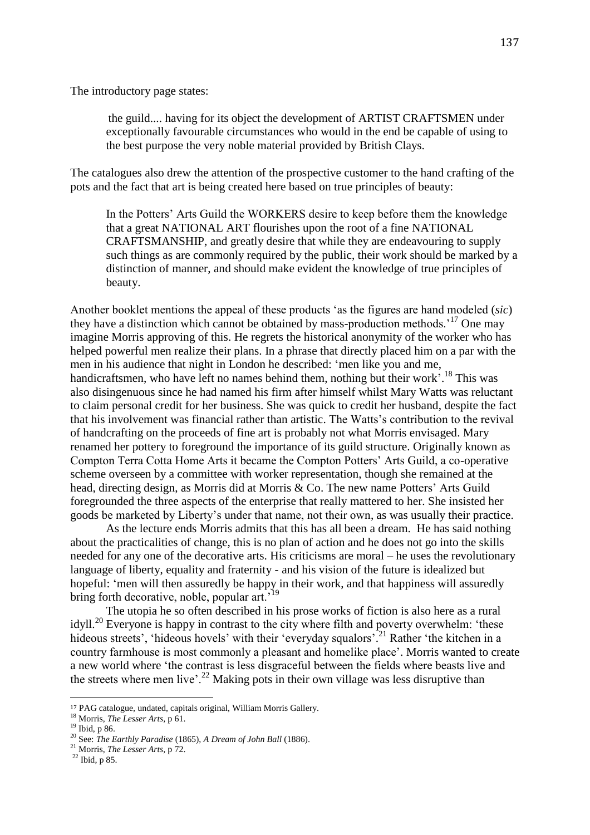The introductory page states:

the guild.... having for its object the development of ARTIST CRAFTSMEN under exceptionally favourable circumstances who would in the end be capable of using to the best purpose the very noble material provided by British Clays.

The catalogues also drew the attention of the prospective customer to the hand crafting of the pots and the fact that art is being created here based on true principles of beauty:

In the Potters' Arts Guild the WORKERS desire to keep before them the knowledge that a great NATIONAL ART flourishes upon the root of a fine NATIONAL CRAFTSMANSHIP, and greatly desire that while they are endeavouring to supply such things as are commonly required by the public, their work should be marked by a distinction of manner, and should make evident the knowledge of true principles of beauty.

Another booklet mentions the appeal of these products 'as the figures are hand modeled (*sic*) they have a distinction which cannot be obtained by mass-production methods.<sup>17</sup> One may imagine Morris approving of this. He regrets the historical anonymity of the worker who has helped powerful men realize their plans. In a phrase that directly placed him on a par with the men in his audience that night in London he described: 'men like you and me, handicraftsmen, who have left no names behind them, nothing but their work'.<sup>18</sup> This was also disingenuous since he had named his firm after himself whilst Mary Watts was reluctant to claim personal credit for her business. She was quick to credit her husband, despite the fact that his involvement was financial rather than artistic. The Watts's contribution to the revival of handcrafting on the proceeds of fine art is probably not what Morris envisaged. Mary renamed her pottery to foreground the importance of its guild structure. Originally known as Compton Terra Cotta Home Arts it became the Compton Potters' Arts Guild, a co-operative scheme overseen by a committee with worker representation, though she remained at the head, directing design, as Morris did at Morris & Co. The new name Potters' Arts Guild foregrounded the three aspects of the enterprise that really mattered to her. She insisted her goods be marketed by Liberty's under that name, not their own, as was usually their practice.

As the lecture ends Morris admits that this has all been a dream. He has said nothing about the practicalities of change, this is no plan of action and he does not go into the skills needed for any one of the decorative arts. His criticisms are moral – he uses the revolutionary language of liberty, equality and fraternity - and his vision of the future is idealized but hopeful: 'men will then assuredly be happy in their work, and that happiness will assuredly bring forth decorative, noble, popular art.<sup>19</sup>

The utopia he so often described in his prose works of fiction is also here as a rural idyll.<sup>20</sup> Everyone is happy in contrast to the city where filth and poverty overwhelm: 'these hideous streets', 'hideous hovels' with their 'everyday squalors'.<sup>21</sup> Rather 'the kitchen in a country farmhouse is most commonly a pleasant and homelike place'. Morris wanted to create a new world where 'the contrast is less disgraceful between the fields where beasts live and the streets where men live'.<sup>22</sup> Making pots in their own village was less disruptive than

 $\overline{a}$ 

<sup>17</sup> PAG catalogue, undated, capitals original, William Morris Gallery.

<sup>18</sup> Morris, *The Lesser Arts,* p 61.

<sup>19</sup> Ibid, p 86.

<sup>20</sup> See: *The Earthly Paradise* (1865), *A Dream of John Ball* (1886).

<sup>21</sup> Morris, *The Lesser Arts,* p 72.

<sup>22</sup> Ibid*,* p 85.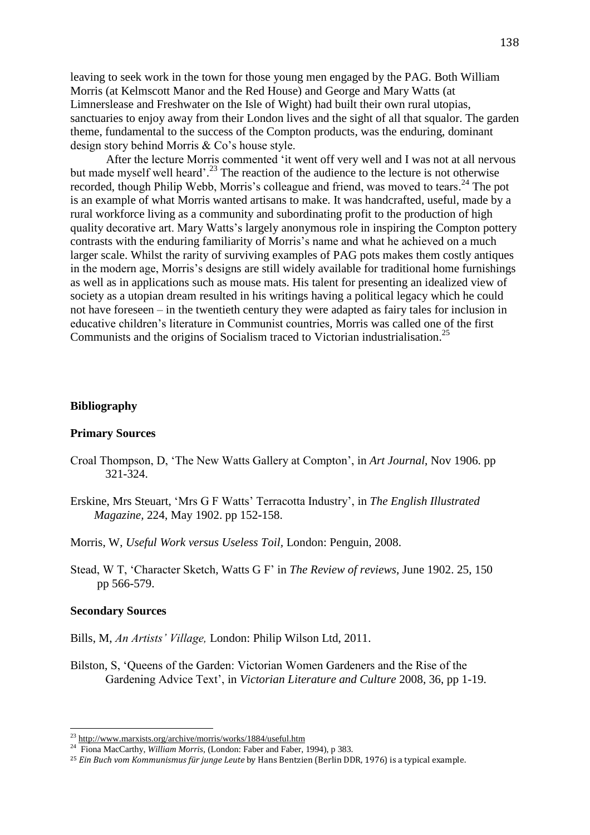leaving to seek work in the town for those young men engaged by the PAG. Both William Morris (at Kelmscott Manor and the Red House) and George and Mary Watts (at Limnerslease and Freshwater on the Isle of Wight) had built their own rural utopias, sanctuaries to enjoy away from their London lives and the sight of all that squalor. The garden theme, fundamental to the success of the Compton products, was the enduring, dominant design story behind Morris & Co's house style.

After the lecture Morris commented 'it went off very well and I was not at all nervous but made myself well heard'.<sup>23</sup> The reaction of the audience to the lecture is not otherwise recorded, though Philip Webb, Morris's colleague and friend, was moved to tears.<sup>24</sup> The pot is an example of what Morris wanted artisans to make. It was handcrafted, useful, made by a rural workforce living as a community and subordinating profit to the production of high quality decorative art. Mary Watts's largely anonymous role in inspiring the Compton pottery contrasts with the enduring familiarity of Morris's name and what he achieved on a much larger scale. Whilst the rarity of surviving examples of PAG pots makes them costly antiques in the modern age, Morris's designs are still widely available for traditional home furnishings as well as in applications such as mouse mats. His talent for presenting an idealized view of society as a utopian dream resulted in his writings having a political legacy which he could not have foreseen – in the twentieth century they were adapted as fairy tales for inclusion in educative children's literature in Communist countries, Morris was called one of the first Communists and the origins of Socialism traced to Victorian industrialisation.<sup>25</sup>

## **Bibliography**

### **Primary Sources**

- Croal Thompson, D, 'The New Watts Gallery at Compton', in *Art Journal*, Nov 1906. pp 321-324.
- Erskine, Mrs Steuart, 'Mrs G F Watts' Terracotta Industry', in *The English Illustrated Magazine,* 224, May 1902. pp 152-158.
- Morris, W, *Useful Work versus Useless Toil,* London: Penguin, 2008.
- Stead, W T, 'Character Sketch, Watts G F' in *The Review of reviews*, June 1902. 25, 150 pp 566-579.

#### **Secondary Sources**

 $\overline{\phantom{a}}$ 

- Bills, M, *An Artists' Village,* London: Philip Wilson Ltd, 2011.
- Bilston, S, 'Queens of the Garden: Victorian Women Gardeners and the Rise of the Gardening Advice Text', in *Victorian Literature and Culture* 2008, 36, pp 1-19.

<sup>&</sup>lt;sup>23</sup> <http://www.marxists.org/archive/morris/works/1884/useful.htm>

<sup>24</sup> Fiona MacCarthy, *William Morris,* (London: Faber and Faber, 1994), p 383.

<sup>25</sup> *Ein Buch vom Kommunismus für junge Leute* by Hans Bentzien (Berlin DDR, 1976) is a typical example.